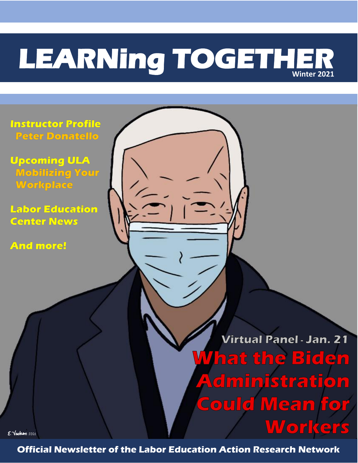# **LEARNing TOGETHER Winter 2021**

 $\overline{\phantom{a}}$ 

**Instructor Profile Peter Donatello** 

**Upcoming ULA Mobilizing Your** Workplace

**Labor Education Center News** 

**And more!** 

Virtual Panel - Jan. 21 *M***hat the Biden Administration Could Mean for Workers** 

E. Vachon 2021

**Official Newsletter of the Labor Education Action Research Network**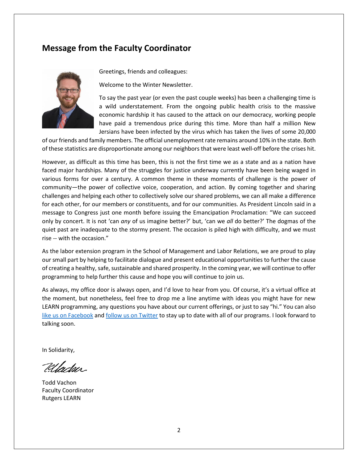#### **Message from the Faculty Coordinator**



Greetings, friends and colleagues:

Welcome to the Winter Newsletter.

To say the past year (or even the past couple weeks) has been a challenging time is a wild understatement. From the ongoing public health crisis to the massive economic hardship it has caused to the attack on our democracy, working people have paid a tremendous price during this time. More than half a million New Jersians have been infected by the virus which has taken the lives of some 20,000

of our friends and family members. The official unemployment rate remains around 10% in the state. Both of these statistics are disproportionate among our neighbors that were least well-off before the crises hit.

However, as difficult as this time has been, this is not the first time we as a state and as a nation have faced major hardships. Many of the struggles for justice underway currently have been being waged in various forms for over a century. A common theme in these moments of challenge is the power of community—the power of collective voice, cooperation, and action. By coming together and sharing challenges and helping each other to collectively solve our shared problems, we can all make a difference for each other, for our members or constituents, and for our communities. As President Lincoln said in a message to Congress just one month before issuing the Emancipation Proclamation: "We can succeed only by concert. It is not 'can *any* of us imagine better?' but, 'can we *all* do better?' The dogmas of the quiet past are inadequate to the stormy present. The occasion is piled high with difficulty, and we must rise -- with the occasion."

As the labor extension program in the School of Management and Labor Relations, we are proud to play our small part by helping to facilitate dialogue and present educational opportunities to further the cause of creating a healthy, safe, sustainable and shared prosperity. In the coming year, we will continue to offer programming to help further this cause and hope you will continue to join us.

As always, my office door is always open, and I'd love to hear from you. Of course, it's a virtual office at the moment, but nonetheless, feel free to drop me a line anytime with ideas you might have for new LEARN programming, any questions you have about our current offerings, or just to say "hi." You can also [like us on Facebook](https://www.facebook.com/RutgersLEARN/) and [follow us on Twitter](https://twitter.com/LearnRutgers) to stay up to date with all of our programs. I look forward to talking soon.

In Solidarity,

Uladar.

Todd Vachon Faculty Coordinator Rutgers LEARN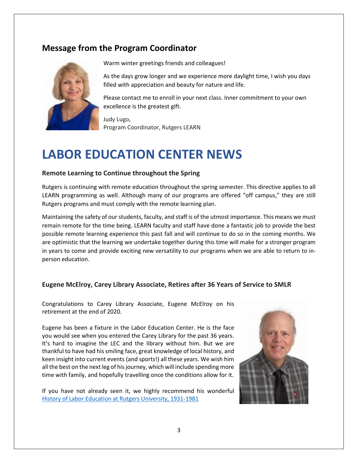## **Message from the Program Coordinator**



Warm winter greetings friends and colleagues!

As the days grow longer and we experience more daylight time, I wish you days filled with appreciation and beauty for nature and life.

Please contact me to enroll in your next class. Inner commitment to your own excellence is the greatest gift.

Judy Lugo, Program Coordinator, Rutgers LEARN

# **LABOR EDUCATION CENTER NEWS**

#### **Remote Learning to Continue throughout the Spring**

Rutgers is continuing with remote education throughout the spring semester. This directive applies to all LEARN programming as well. Although many of our programs are offered "off campus," they are still Rutgers programs and must comply with the remote learning plan.

Maintaining the safety of our students, faculty, and staff is of the utmost importance. This means we must remain remote for the time being. LEARN faculty and staff have done a fantastic job to provide the best possible remote learning experience this past fall and will continue to do so in the coming months. We are optimistic that the learning we undertake together during this time will make for a stronger program in years to come and provide exciting new versatility to our programs when we are able to return to inperson education.

#### **Eugene McElroy, Carey Library Associate, Retires after 36 Years of Service to SMLR**

Congratulations to Carey Library Associate, Eugene McElroy on his retirement at the end of 2020.

Eugene has been a fixture in the Labor Education Center. He is the face you would see when you entered the Carey Library for the past 36 years. It's hard to imagine the LEC and the library without him. But we are thankful to have had his smiling face, great knowledge of local history, and keen insight into current events (and sports!) all these years. We wish him all the best on the next leg of his journey, which will include spending more time with family, and hopefully travelling once the conditions allow for it.

If you have not already seen it, we highly recommend his wonderful [History of Labor Education at Rutgers University, 1931-1981](https://smlr.rutgers.edu/content/history-labor-education-rutgers-university)

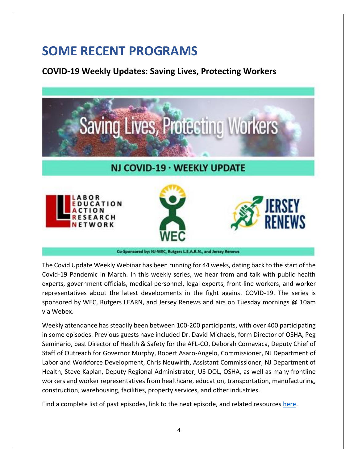# **SOME RECENT PROGRAMS**

### **COVID-19 Weekly Updates: Saving Lives, Protecting Workers**



The Covid Update Weekly Webinar has been running for 44 weeks, dating back to the start of the Covid-19 Pandemic in March. In this weekly series, we hear from and talk with public health experts, government officials, medical personnel, legal experts, front-line workers, and worker representatives about the latest developments in the fight against COVID-19. The series is sponsored by WEC, Rutgers LEARN, and Jersey Renews and airs on Tuesday mornings @ 10am via Webex.

Weekly attendance has steadily been between 100-200 participants, with over 400 participating in some episodes. Previous guests have included Dr. David Michaels, form Director of OSHA, Peg Seminario, past Director of Health & Safety for the AFL-CO, Deborah Cornavaca, Deputy Chief of Staff of Outreach for Governor Murphy, Robert Asaro-Angelo, Commissioner, NJ Department of Labor and Workforce Development, Chris Neuwirth, Assistant Commissioner, NJ Department of Health, Steve Kaplan, Deputy Regional Administrator, US-DOL, OSHA, as well as many frontline workers and worker representatives from healthcare, education, transportation, manufacturing, construction, warehousing, facilities, property services, and other industries.

Find a complete list of past episodes, link to the next episode, and related resources [here.](https://njwec.org/covid-19/#Webinars)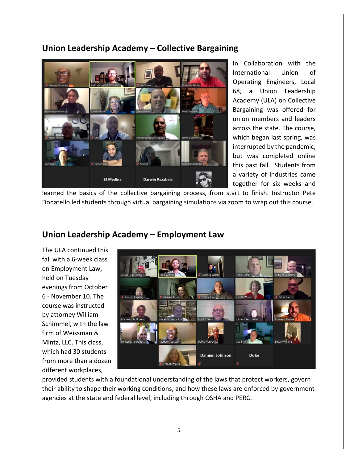# EJ Medina **Darwin Rezabala**

In Collaboration with the International Union of Operating Engineers, Local 68, a Union Leadership Academy (ULA) on Collective Bargaining was offered for union members and leaders across the state. The course, which began last spring, was interrupted by the pandemic, but was completed online this past fall. Students from a variety of industries came together for six weeks and

learned the basics of the collective bargaining process, from start to finish. Instructor Pete Donatello led students through virtual bargaining simulations via zoom to wrap out this course.

## **Union Leadership Academy – Employment Law**

The ULA continued this fall with a 6-week class on Employment Law, held on Tuesday evenings from October 6 - November 10. The course was instructed by attorney William Schimmel, with the law firm of Weissman & Mintz, LLC. This class, which had 30 students from more than a dozen different workplaces,



provided students with a foundational understanding of the laws that protect workers, govern their ability to shape their working conditions, and how these laws are enforced by government agencies at the state and federal level, including through OSHA and PERC.

## **Union Leadership Academy – Collective Bargaining**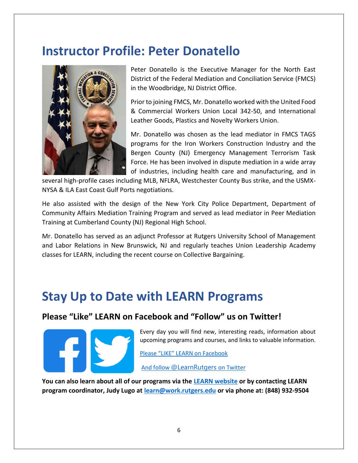# **Instructor Profile: Peter Donatello**



Peter Donatello is the Executive Manager for the North East District of the Federal Mediation and Conciliation Service (FMCS) in the Woodbridge, NJ District Office.

Prior to joining FMCS, Mr. Donatello worked with the United Food & Commercial Workers Union Local 342-50, and International Leather Goods, Plastics and Novelty Workers Union.

Mr. Donatello was chosen as the lead mediator in FMCS TAGS programs for the Iron Workers Construction Industry and the Bergen County (NJ) Emergency Management Terrorism Task Force. He has been involved in dispute mediation in a wide array of industries, including health care and manufacturing, and in

several high-profile cases including MLB, NFLRA, Westchester County Bus strike, and the USMX-NYSA & ILA East Coast Gulf Ports negotiations.

He also assisted with the design of the New York City Police Department, Department of Community Affairs Mediation Training Program and served as lead mediator in Peer Mediation Training at Cumberland County (NJ) Regional High School.

Mr. Donatello has served as an adjunct Professor at Rutgers University School of Management and Labor Relations in New Brunswick, NJ and regularly teaches Union Leadership Academy classes for LEARN, including the recent course on Collective Bargaining.

# **Stay Up to Date with LEARN Programs**

#### **Please "Like" LEARN on Facebook and "Follow" us on Twitter!**

Every day you will find new, interesting reads, information about upcoming programs and courses, and links to valuable information.

[Please "LIKE" LEARN on Facebook](https://www.facebook.com/RutgersLEARN/)

And follow [@LearnRutgers](https://twitter.com/LearnRutgers) on Twitter

**You can also learn about all of our programs via the [LEARN website](https://smlr.rutgers.edu/content/labor-education-and-research-now-learn) or by contacting LEARN program coordinator, Judy Lugo at [learn@work.rutgers.edu](mailto:learn@work.rutgers.edu) or via phone at: (848) 932-9504**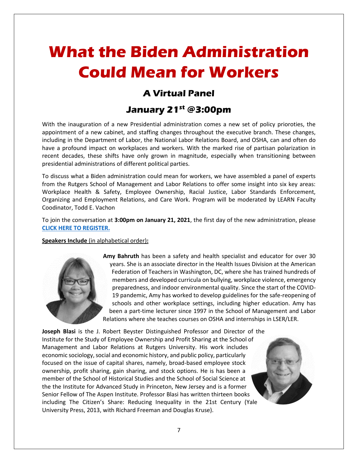# **What the Biden Administration Could Mean for Workers**

# **A Virtual Panel**

## **January 21st @3:00pm**

With the inauguration of a new Presidential administration comes a new set of policy prioroties, the appointment of a new cabinet, and staffing changes throughout the executive branch. These changes, including in the Department of Labor, the National Labor Relations Board, and OSHA, can and often do have a profound impact on workplaces and workers. With the marked rise of partisan polarization in recent decades, these shifts have only grown in magnitude, especially when transitioning between presidential administrations of different political parties.

To discuss what a Biden administration could mean for workers, we have assembled a panel of experts from the Rutgers School of Management and Labor Relations to offer some insight into six key areas: Workplace Health & Safety, Employee Ownership, Racial Justice, Labor Standards Enforcement, Organizing and Employment Relations, and Care Work. Program will be moderated by LEARN Faculty Coodinator, Todd E. Vachon

To join the conversation at **3:00pm on January 21, 2021**, the first day of the new administration, please **[CLICK HERE TO REGISTER.](https://docs.google.com/forms/d/e/1FAIpQLScDsLoM8AZv2MWYrsJenDID5s5XwxOrPDCAK1sSNYH9ER5Blg/viewform?usp=sf_link)**

**Speakers Include** (in alphabetical order)**:**



**Amy Bahruth** has been a safety and health specialist and educator for over 30 years. She is an associate director in the Health Issues Division at the American Federation of Teachers in Washington, DC, where she has trained hundreds of members and developed curricula on bullying, workplace violence, emergency preparedness, and indoor environmental quality. Since the start of the COVID-19 pandemic, Amy has worked to develop guidelines for the safe-reopening of schools and other workplace settings, including higher education. Amy has been a part-time lecturer since 1997 in the School of Management and Labor Relations where she teaches courses on OSHA and internships in LSER/LER.

**Joseph Blasi** is the J. Robert Beyster Distinguished Professor and Director of the Institute for the Study of Employee Ownership and Profit Sharing at the School of Management and Labor Relations at Rutgers University. His work includes economic sociology, social and economic history, and public policy, particularly focused on the issue of capital shares, namely, broad-based employee stock ownership, profit sharing, gain sharing, and stock options. He is has been a member of the School of Historical Studies and the School of Social Science at the the Institute for Advanced Study in Princeton, New Jersey and is a former Senior Fellow of The Aspen Institute. Professor Blasi has written thirteen books including The Citizen's Share: Reducing Inequality in the 21st Century (Yale University Press, 2013, with Richard Freeman and Douglas Kruse).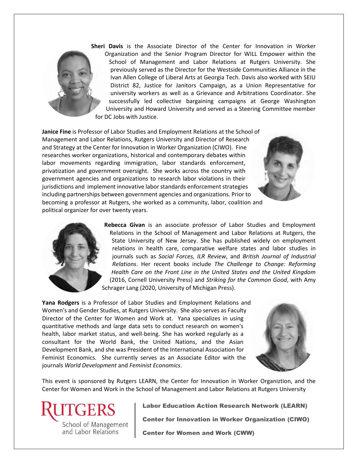

**Sheri Davis** is the Associate Director of the Center for Innovation in Worker Organization and the Senior Program Director for WILL Empower within the School of Management and Labor Relations at Rutgers University. She previously served as the Director for the Westside Communities Alliance in the Ivan Allen College of Liberal Arts at Georgia Tech. Davis also worked with SEIU District 82, Justice for Janitors Campaign, as a Union Representative for university workers as well as a Grievance and Arbitrations Coordinator. She successfully led collective bargaining campaigns at George Washington University and Howard University and served as a Steering Committee member for DC Jobs with Justice.

**Janice Fine** is Professor of Labor Studies and Employment Relations at the School of Management and Labor Relations, Rutgers University and Director of Research and Strategy at the Center for Innovation in Worker Organization (CIWO). Fine researches worker organizations, historical and contemporary debates within labor movements regarding immigration, labor standards enforcement, privatization and government oversight. She works across the country with government agencies and organizations to research labor violations in their jurisdictions and implement innovative labor standards enforcement strategies including partnerships between government agencies and organizations. Prior to becoming a professor at Rutgers, she worked as a community, labor, coalition and political organizer for over twenty years.



**Rebecca Givan** is an associate professor of Labor Studies and Employment Relations in the School of Management and Labor Relations at Rutgers, the State University of New Jersey. She has published widely on employment relations in health care, comparative welfare states and labor studies in journals such as *Social Forces, ILR Review*, and *British Journal of Industrial Relations*. Her recent books include *The Challenge to Change: Reforming Health Care on the Front Line in the United States and the United Kingdom* (2016, Cornell University Press) and *Striking for the Common Good*, with Amy Schrager Lang (2020, University of Michigan Press).

**Yana Rodgers** is a Professor of Labor Studies and Employment Relations and Women's and Gender Studies, at Rutgers University. She also serves as Faculty Director of the Center for Women and Work at. Yana specializes in using quantitative methods and large data sets to conduct research on women's health, labor market status, and well-being. She has worked regularly as a consultant for the World Bank, the United Nations, and the Asian Development Bank, and she was President of the International Association for Feminist Economics. She currently serves as an Associate Editor with the journals *World Development* and *Feminist Economics*.



This event is sponsored by Rutgers LEARN, the Center for Innovation in Worker Organiztion, and the Center for Women and Work in the School of Management and Labor Relations at Rutgers University



Labor Education Action Research Network (LEARN)

Center for Innovation in Worker Organization (CIWO)

**Center for Women and Work (CWW)**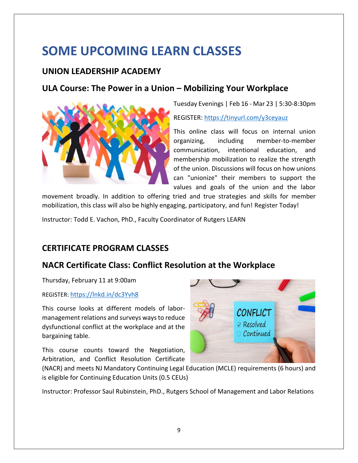# **SOME UPCOMING LEARN CLASSES**

#### **UNION LEADERSHIP ACADEMY**

#### **ULA Course: The Power in a Union – Mobilizing Your Workplace**



Tuesday Evenings | Feb 16 - Mar 23 | 5:30-8:30pm REGISTER:<https://tinyurl.com/y3ceyauz>

This online class will focus on internal union organizing, including member-to-member communication, intentional education, and membership mobilization to realize the strength of the union. Discussions will focus on how unions can "unionize" their members to support the values and goals of the union and the labor

movement broadly. In addition to offering tried and true strategies and skills for member mobilization, this class will also be highly engaging, participatory, and fun! Register Today!

Instructor: Todd E. Vachon, PhD., Faculty Coordinator of Rutgers LEARN

## **CERTIFICATE PROGRAM CLASSES**

#### **NACR Certificate Class: Conflict Resolution at the Workplace**

Thursday, February 11 at 9:00am

REGISTER: <https://lnkd.in/dc3Yvh8>

This course looks at different models of labormanagement relations and surveys ways to reduce dysfunctional conflict at the workplace and at the bargaining table.

This course counts toward the Negotiation, Arbitration, and Conflict Resolution Certificate



(NACR) and meets NJ Mandatory Continuing Legal Education (MCLE) requirements (6 hours) and is eligible for Continuing Education Units (0.5 CEUs)

Instructor: Professor Saul Rubinstein, PhD., Rutgers School of Management and Labor Relations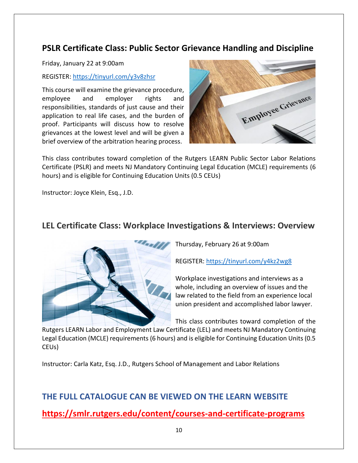## **PSLR Certificate Class: Public Sector Grievance Handling and Discipline**

Friday, January 22 at 9:00am

REGISTER:<https://tinyurl.com/y3v8zhsr>

This course will examine the grievance procedure, employee and employer rights and responsibilities, standards of just cause and their application to real life cases, and the burden of proof. Participants will discuss how to resolve grievances at the lowest level and will be given a brief overview of the arbitration hearing process.



This class contributes toward completion of the Rutgers LEARN Public Sector Labor Relations Certificate (PSLR) and meets NJ Mandatory Continuing Legal Education (MCLE) requirements (6 hours) and is eligible for Continuing Education Units (0.5 CEUs)

Instructor: Joyce Klein, Esq., J.D.

#### **LEL Certificate Class: Workplace Investigations & Interviews: Overview**



Thursday, February 26 at 9:00am

REGISTER:<https://tinyurl.com/y4kz2wg8>

Workplace investigations and interviews as a whole, including an overview of issues and the law related to the field from an experience local union president and accomplished labor lawyer.

This class contributes toward completion of the

Rutgers LEARN Labor and Employment Law Certificate (LEL) and meets NJ Mandatory Continuing Legal Education (MCLE) requirements (6 hours) and is eligible for Continuing Education Units (0.5 CEUs)

Instructor: Carla Katz, Esq. J.D., Rutgers School of Management and Labor Relations

## **THE FULL CATALOGUE CAN BE VIEWED ON THE LEARN WEBSITE**

**<https://smlr.rutgers.edu/content/courses-and-certificate-programs>**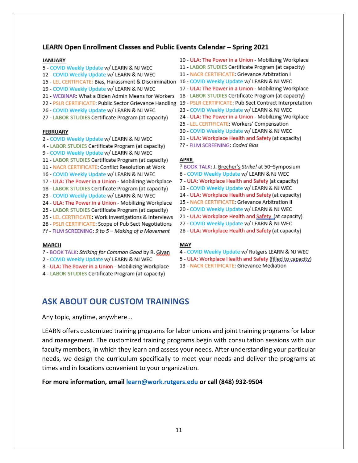#### LEARN Open Enrollment Classes and Public Events Calendar - Spring 2021

#### **JANUARY**

- 5 COVID Weekly Update w/ LEARN & NJ WEC
- 12 COVID Weekly Update w/ LEARN & NJ WEC
- 15 LEL CERTIFICATE: Bias, Harassment & Discrimination 16 COVID Weekly Update w/ LEARN & NJ WEC
- 19 COVID Weekly Update w/ LEARN & NJ WEC
- 
- 
- 26 COVID Weekly Update w/ LEARN & NJ WEC
- 27 LABOR STUDIES Certificate Program (at capacity)

#### **FEBRUARY**

- 2 COVID Weekly Update w/ LEARN & NJ WEC
- 4 LABOR STUDIES Certificate Program (at capacity)
- 9 COVID Weekly Update w/ LEARN & NJ WEC
- 11 LABOR STUDIES Certificate Program (at capacity)
- 11 NACR CERTIFICATE: Conflict Resolution at Work
- 16 COVID Weekly Update w/ LEARN & NJ WEC
- 17 ULA: The Power in a Union Mobilizing Workplace
- 18 LABOR STUDIES Certificate Program (at capacity)
- 23 COVID Weekly Update w/ LEARN & NJ WEC
- 24 ULA: The Power in a Union Mobilizing Workplace
- 25 LABOR STUDIES Certificate Program (at capacity)
- 25 LEL CERTIFICATE: Work Investigations & Interviews
- 26 PSLR CERTIFICATE: Scope of Pub Sect Negotiations
- ?? FILM SCREENING: 9 to 5 Making of a Movement

#### **MARCH**

- ? BOOK TALK: Striking for Common Good by R. Givan
- 2 COVID Weekly Update w/ LEARN & NJ WEC
- 3 ULA: The Power in a Union Mobilizing Workplace
- 4 LABOR STUDIES Certificate Program (at capacity)
- 10 ULA: The Power in a Union Mobilizing Workplace
- 11 LABOR STUDIES Certificate Program (at capacity)
- 11 NACR CERTIFICATE: Grievance Arbitration I
- 
- 17 ULA: The Power in a Union Mobilizing Workplace
- 21 WEBINAR: What a Biden Admin Means for Workers 18 LABOR STUDIES Certificate Program (at capacity)
- 22 PSLR CERTIFICATE: Public Sector Grievance Handling 19 PSLR CERTIFICATE: Pub Sect Contract Interpretation
	- 23 COVID Weekly Update w/ LEARN & NJ WEC
	- 24 ULA: The Power in a Union Mobilizing Workplace
	- 25 LEL CERTIFICATE: Workers' Compensation
	- 30 COVID Weekly Update w/ LEARN & NJ WEC
	- 31 ULA: Workplace Health and Safety (at capacity)
	- ?? FILM SCREENING: Coded Bias

#### **APRIL**

- ? BOOK TALK: J. Brecher's Strike! at 50-Symposium
- 6 COVID Weekly Update w/ LEARN & NJ WEC
- 7 ULA: Workplace Health and Safety (at capacity)
- 13 COVID Weekly Update w/ LEARN & NJ WEC
- 14 ULA: Workplace Health and Safety (at capacity)
- 15 NACR CERTIFICATE: Grievance Arbitration II
- 20 COVID Weekly Update w/ LEARN & NJ WEC
- 21 ULA: Workplace Health and Safety (at capacity)
- 27 COVID Weekly Update w/ LEARN & NJ WEC
- 28 ULA: Workplace Health and Safety (at capacity)

#### MAY

- 4 COVID Weekly Update w/ Rutgers LEARN & NJ WEC
- 5 ULA: Workplace Health and Safety (filled to capacity)
- 13 NACR CERTIFICATE: Grievance Mediation

## **ASK ABOUT OUR CUSTOM TRAININGS**

Any topic, anytime, anywhere...

LEARN offers customized training programs for labor unions and joint training programs for labor and management. The customized training programs begin with consultation sessions with our faculty members, in which they learn and assess your needs. After understanding your particular needs, we design the curriculum specifically to meet your needs and deliver the programs at times and in locations convenient to your organization.

#### **For more information, email [learn@work.rutgers.edu](mailto:learn@work.rutgers.edu) or call (848) 932-9504**